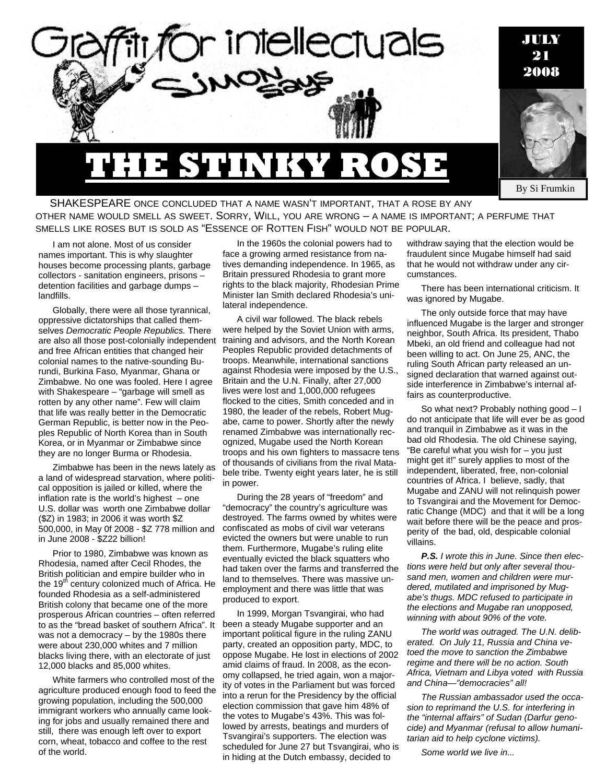

SHAKESPEARE ONCE CONCLUDED THAT A NAME WASN'T IMPORTANT, THAT A ROSE BY ANY OTHER NAME WOULD SMELL AS SWEET. SORRY, WILL, YOU ARE WRONG – A NAME IS IMPORTANT; A PERFUME THAT SMELLS LIKE ROSES BUT IS SOLD AS "ESSENCE OF ROTTEN FISH" WOULD NOT BE POPULAR.

I am not alone. Most of us consider names important. This is why slaughter houses become processing plants, garbage collectors - sanitation engineers, prisons – detention facilities and garbage dumps – landfills.

Globally, there were all those tyrannical, oppressive dictatorships that called themselves *Democratic People Republics.* There are also all those post-colonially independent and free African entities that changed heir colonial names to the native-sounding Burundi, Burkina Faso, Myanmar, Ghana or Zimbabwe. No one was fooled. Here I agree with Shakespeare – "garbage will smell as rotten by any other name". Few will claim that life was really better in the Democratic German Republic, is better now in the Peoples Republic of North Korea than in South Korea, or in Myanmar or Zimbabwe since they are no longer Burma or Rhodesia.

Zimbabwe has been in the news lately as a land of widespread starvation, where political opposition is jailed or killed, where the inflation rate is the world's highest  $-$  one U.S. dollar was worth one Zimbabwe dollar (\$Z) in 1983; in 2006 it was worth \$Z 500,000, in May 0f 2008 - \$Z 778 million and in June 2008 - \$Z22 billion!

Prior to 1980, Zimbabwe was known as Rhodesia, named after Cecil Rhodes, the British politician and empire builder who in the  $19<sup>th</sup>$  century colonized much of Africa. He founded Rhodesia as a self-administered British colony that became one of the more prosperous African countries – often referred to as the "bread basket of southern Africa". It was not a democracy – by the 1980s there were about 230,000 whites and 7 million blacks living there, with an electorate of just 12,000 blacks and 85,000 whites.

White farmers who controlled most of the agriculture produced enough food to feed the growing population, including the 500,000 immigrant workers who annually came looking for jobs and usually remained there and still, there was enough left over to export corn, wheat, tobacco and coffee to the rest of the world.

In the 1960s the colonial powers had to face a growing armed resistance from natives demanding independence. In 1965, as Britain pressured Rhodesia to grant more rights to the black majority, Rhodesian Prime Minister Ian Smith declared Rhodesia's unilateral independence.

A civil war followed. The black rebels were helped by the Soviet Union with arms, training and advisors, and the North Korean Peoples Republic provided detachments of troops. Meanwhile, international sanctions against Rhodesia were imposed by the U.S., Britain and the U.N. Finally, after 27,000 lives were lost and 1,000,000 refugees flocked to the cities, Smith conceded and in 1980, the leader of the rebels, Robert Mugabe, came to power. Shortly after the newly renamed Zimbabwe was internationally recognized, Mugabe used the North Korean troops and his own fighters to massacre tens of thousands of civilians from the rival Matabele tribe. Twenty eight years later, he is still in power.

During the 28 years of "freedom" and "democracy" the country's agriculture was destroyed. The farms owned by whites were confiscated as mobs of civil war veterans evicted the owners but were unable to run them. Furthermore, Mugabe's ruling elite eventually evicted the black squatters who had taken over the farms and transferred the land to themselves. There was massive unemployment and there was little that was produced to export.

In 1999, Morgan Tsvangirai, who had been a steady Mugabe supporter and an important political figure in the ruling ZANU party, created an opposition party, MDC, to oppose Mugabe. He lost in elections of 2002 amid claims of fraud. In 2008, as the economy collapsed, he tried again, won a majority of votes in the Parliament but was forced into a rerun for the Presidency by the official election commission that gave him 48% of the votes to Mugabe's 43%. This was followed by arrests, beatings and murders of Tsvangirai's supporters. The election was scheduled for June 27 but Tsvangirai, who is in hiding at the Dutch embassy, decided to

withdraw saying that the election would be fraudulent since Mugabe himself had said that he would not withdraw under any circumstances.

There has been international criticism. It was ignored by Mugabe.

The only outside force that may have influenced Mugabe is the larger and stronger neighbor, South Africa. Its president, Thabo Mbeki, an old friend and colleague had not been willing to act. On June 25, ANC, the ruling South African party released an unsigned declaration that warned against outside interference in Zimbabwe's internal affairs as counterproductive.

So what next? Probably nothing good – I do not anticipate that life will ever be as good and tranquil in Zimbabwe as it was in the bad old Rhodesia. The old Chinese saying, "Be careful what you wish for – you just might get it!" surely applies to most of the independent, liberated, free, non-colonial countries of Africa. I believe, sadly, that Mugabe and ZANU will not relinquish power to Tsvangirai and the Movement for Democratic Change (MDC) and that it will be a long wait before there will be the peace and prosperity of the bad, old, despicable colonial villains.

*P.S. I wrote this in June. Since then elections were held but only after several thousand men, women and children were murdered, mutilated and imprisoned by Mugabe's thugs. MDC refused to participate in the elections and Mugabe ran unopposed, winning with about 90% of the vote.* 

*The world was outraged. The U.N. deliberated. On July 11, Russia and China vetoed the move to sanction the Zimbabwe regime and there will be no action. South Africa, Vietnam and Libya voted with Russia and China—"democracies" all!* 

*The Russian ambassador used the occasion to reprimand the U.S. for interfering in the "internal affairs" of Sudan (Darfur genocide) and Myanmar (refusal to allow humanitarian aid to help cyclone victims).* 

*Some world we live in...*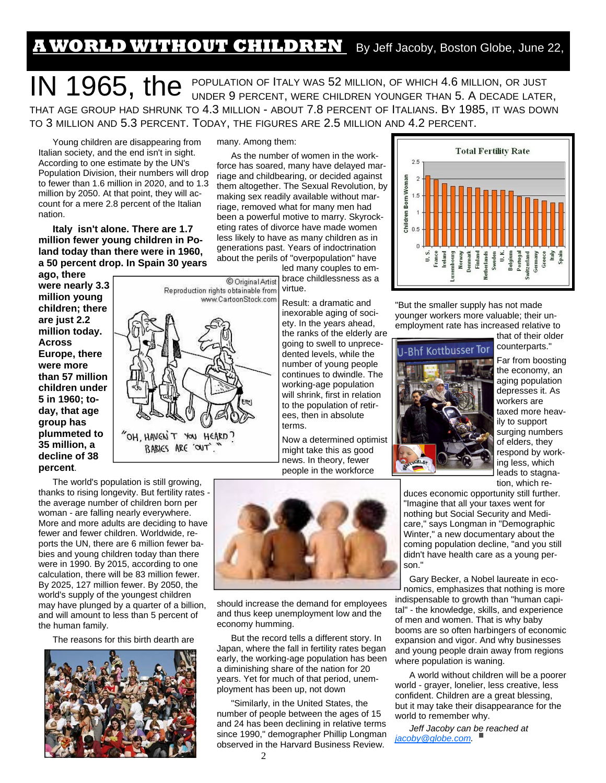## **A WORLD WITHOUT CHILDREN** By Jeff Jacoby, Boston Globe, June 22,

IN 1965, the POPULATION OF ITALY WAS 52 MILLION, OF WHICH 4.6 MILLION, OR JUST UNDER 9 PERCENT, WERE CHILDREN YOUNGER THAN 5. A DECADE LATER, THAT AGE GROUP HAD SHRUNK TO 4.3 MILLION - ABOUT 7.8 PERCENT OF ITALIANS. BY 1985, IT WAS DOWN TO 3 MILLION AND 5.3 PERCENT. TODAY, THE FIGURES ARE 2.5 MILLION AND 4.2 PERCENT.

Young children are disappearing from Italian society, and the end isn't in sight. According to one estimate by the UN's Population Division, their numbers will drop to fewer than 1.6 million in 2020, and to 1.3 million by 2050. At that point, they will account for a mere 2.8 percent of the Italian nation.

**Italy isn't alone. There are 1.7 million fewer young children in Poland today than there were in 1960, a 50 percent drop. In Spain 30 years** 

**ago, there were nearly 3.3 million young children; there are just 2.2 million today. Across Europe, there were more than 57 million children under 5 in 1960; today, that age group has plummeted to 35 million, a decline of 38 percent**.



The world's population is still growing, thanks to rising longevity. But fertility rates the average number of children born per woman - are falling nearly everywhere. More and more adults are deciding to have fewer and fewer children. Worldwide, reports the UN, there are 6 million fewer babies and young children today than there were in 1990. By 2015, according to one calculation, there will be 83 million fewer. By 2025, 127 million fewer. By 2050, the world's supply of the youngest children may have plunged by a quarter of a billion, and will amount to less than 5 percent of the human family.

The reasons for this birth dearth are



many. Among them:

As the number of women in the workforce has soared, many have delayed marriage and childbearing, or decided against them altogether. The Sexual Revolution, by making sex readily available without marriage, removed what for many men had been a powerful motive to marry. Skyrocketing rates of divorce have made women less likely to have as many children as in generations past. Years of indoctrination about the perils of "overpopulation" have

led many couples to embrace childlessness as a virtue.

Result: a dramatic and inexorable aging of society. In the years ahead, the ranks of the elderly are going to swell to unprecedented levels, while the number of young people continues to dwindle. The working-age population will shrink, first in relation to the population of retirees, then in absolute terms.

Now a determined optimist might take this as good news. In theory, fewer people in the workforce

should increase the demand for employees and thus keep unemployment low and the

But the record tells a different story. In Japan, where the fall in fertility rates began early, the working-age population has been a diminishing share of the nation for 20 years. Yet for much of that period, unemployment has been up, not down

"Similarly, in the United States, the number of people between the ages of 15 and 24 has been declining in relative terms since 1990," demographer Phillip Longman observed in the Harvard Business Review.



"But the smaller supply has not made younger workers more valuable; their unemployment rate has increased relative to



that of their older counterparts."

Far from boosting the economy, an aging population depresses it. As workers are taxed more heavily to support surging numbers of elders, they respond by working less, which leads to stagnation, which re-

duces economic opportunity still further. "Imagine that all your taxes went for nothing but Social Security and Medicare," says Longman in "Demographic Winter," a new documentary about the coming population decline, "and you still didn't have health care as a young person."

Gary Becker, a Nobel laureate in economics, emphasizes that nothing is more indispensable to growth than "human capital" - the knowledge, skills, and experience of men and women. That is why baby booms are so often harbingers of economic expansion and vigor. And why businesses and young people drain away from regions where population is waning.

A world without children will be a poorer world - grayer, lonelier, less creative, less confident. Children are a great blessing, but it may take their disappearance for the world to remember why.

*Jeff Jacoby can be reached at jacoby@globe.com.* 

economy humming.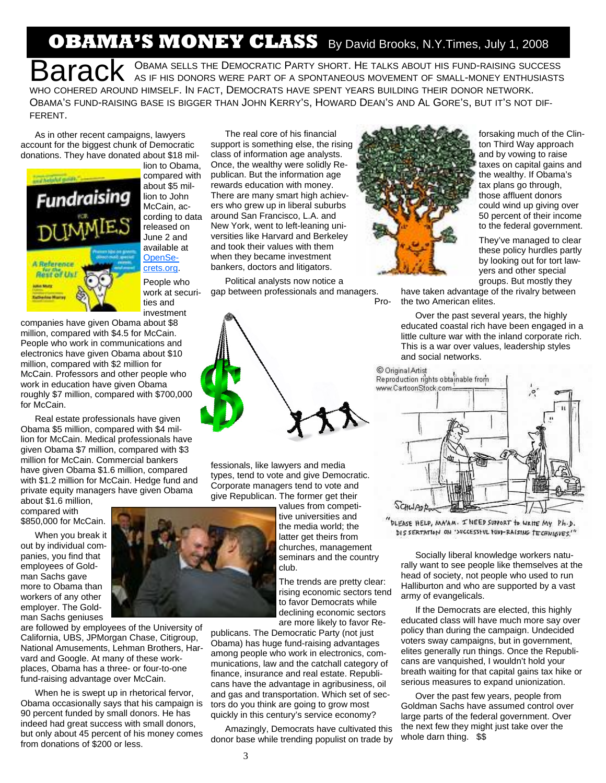## **OBAMA'S MONEY CLASS** By David Brooks, N.Y.Times, July 1, 2008

BARACK OBAMA SELLS THE DEMOCRATIC PARTY SHORT. HE TALKS ABOUT HIS FUND-RAISING SUCCESS AS IF HIS DONORS WERE PART OF A SPONTANEOUS MOVEMENT OF SMALL-MONEY ENTHUSIASTS WHO COHERED AROUND HIMSELF. IN FACT, DEMOCRATS HAVE SPENT YEARS BUILDING THEIR DONOR NETWORK. OBAMA'S FUND-RAISING BASE IS BIGGER THAN JOHN KERRY'S, HOWARD DEAN'S AND AL GORE'S, BUT IT'S NOT DIF-FERENT.

As in other recent campaigns, lawyers account for the biggest chunk of Democratic donations. They have donated about \$18 mil-



lion to Obama, compared with about \$5 million to John McCain, according to data released on June 2 and available at OpenSecrets.org.

People who work at securities and investment

companies have given Obama about \$8 million, compared with \$4.5 for McCain. People who work in communications and electronics have given Obama about \$10 million, compared with \$2 million for McCain. Professors and other people who work in education have given Obama roughly \$7 million, compared with \$700,000 for McCain.

Real estate professionals have given Obama \$5 million, compared with \$4 million for McCain. Medical professionals have given Obama \$7 million, compared with \$3 million for McCain. Commercial bankers have given Obama \$1.6 million, compared with \$1.2 million for McCain. Hedge fund and private equity managers have given Obama

about \$1.6 million, compared with \$850,000 for McCain.

When you break it out by individual companies, you find that employees of Goldman Sachs gave more to Obama than workers of any other employer. The Goldman Sachs geniuses

are followed by employees of the University of California, UBS, JPMorgan Chase, Citigroup, National Amusements, Lehman Brothers, Harvard and Google. At many of these workplaces, Obama has a three- or four-to-one fund-raising advantage over McCain.

When he is swept up in rhetorical fervor, Obama occasionally says that his campaign is 90 percent funded by small donors. He has indeed had great success with small donors, but only about 45 percent of his money comes from donations of \$200 or less.

The real core of his financial support is something else, the rising class of information age analysts. Once, the wealthy were solidly Republican. But the information age rewards education with money. There are many smart high achievers who grew up in liberal suburbs around San Francisco, L.A. and New York, went to left-leaning universities like Harvard and Berkeley and took their values with them when they became investment bankers, doctors and litigators.

Political analysts now notice a gap between professionals and managers.

fessionals, like lawyers and media types, tend to vote and give Democratic. Corporate managers tend to vote and give Republican. The former get their



Pro-

forsaking much of the Clinton Third Way approach and by vowing to raise taxes on capital gains and the wealthy. If Obama's tax plans go through, those affluent donors could wind up giving over 50 percent of their income to the federal government.

They've managed to clear these policy hurdles partly by looking out for tort lawyers and other special groups. But mostly they

have taken advantage of the rivalry between the two American elites.

Over the past several years, the highly educated coastal rich have been engaged in a little culture war with the inland corporate rich. This is a war over values, leadership styles and social networks.

© Original Artist Reproduction rights obtainable from



DLEASE HELP, MA'AM. I NEED SUPPORT to WRITE MY Ph.D. DIS SERTATION ON '>VCCESSIVL FUNI-RAISING TECHNIQUES."

Socially liberal knowledge workers naturally want to see people like themselves at the head of society, not people who used to run Halliburton and who are supported by a vast army of evangelicals.

If the Democrats are elected, this highly educated class will have much more say over policy than during the campaign. Undecided voters sway campaigns, but in government, elites generally run things. Once the Republicans are vanquished, I wouldn't hold your breath waiting for that capital gains tax hike or serious measures to expand unionization.

Over the past few years, people from Goldman Sachs have assumed control over large parts of the federal government. Over the next few they might just take over the whole darn thing. \$\$



tive universities and the media world; the latter get theirs from churches, management seminars and the country club.

values from competi-

The trends are pretty clear: rising economic sectors tend to favor Democrats while declining economic sectors are more likely to favor Re-

publicans. The Democratic Party (not just Obama) has huge fund-raising advantages among people who work in electronics, communications, law and the catchall category of finance, insurance and real estate. Republicans have the advantage in agribusiness, oil and gas and transportation. Which set of sectors do you think are going to grow most quickly in this century's service economy?

Amazingly, Democrats have cultivated this donor base while trending populist on trade by